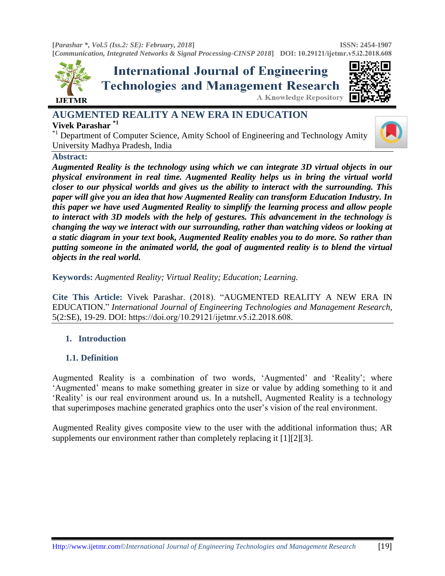



# **AUGMENTED REALITY A NEW ERA IN EDUCATION Vivek Parashar \*1**

Department of Computer Science, Amity School of Engineering and Technology Amity University Madhya Pradesh, India

#### **Abstract:**

*Augmented Reality is the technology using which we can integrate 3D virtual objects in our physical environment in real time. Augmented Reality helps us in bring the virtual world closer to our physical worlds and gives us the ability to interact with the surrounding. This paper will give you an idea that how Augmented Reality can transform Education Industry. In this paper we have used Augmented Reality to simplify the learning process and allow people to interact with 3D models with the help of gestures. This advancement in the technology is changing the way we interact with our surrounding, rather than watching videos or looking at a static diagram in your text book, Augmented Reality enables you to do more. So rather than putting someone in the animated world, the goal of augmented reality is to blend the virtual objects in the real world.* 

**Keywords:** *Augmented Reality; Virtual Reality; Education; Learning.* 

**Cite This Article:** Vivek Parashar. (2018). "AUGMENTED REALITY A NEW ERA IN EDUCATION." *International Journal of Engineering Technologies and Management Research,*  5(2:SE), 19-29. DOI: https://doi.org/10.29121/ijetmr.v5.i2.2018.608.

# **1. Introduction**

## **1.1. Definition**

Augmented Reality is a combination of two words, "Augmented" and "Reality"; where "Augmented" means to make something greater in size or value by adding something to it and "Reality" is our real environment around us. In a nutshell, Augmented Reality is a technology that superimposes machine generated graphics onto the user"s vision of the real environment.

Augmented Reality gives composite view to the user with the additional information thus; AR supplements our environment rather than completely replacing it [1][2][3].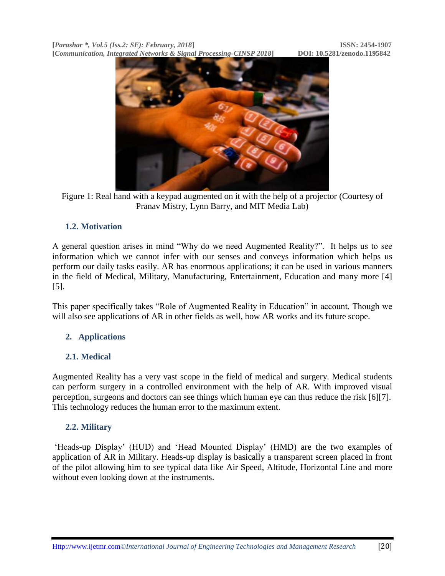

Figure 1: Real hand with a keypad augmented on it with the help of a projector (Courtesy of Pranav Mistry, Lynn Barry, and MIT Media Lab)

# **1.2. Motivation**

A general question arises in mind "Why do we need Augmented Reality?". It helps us to see information which we cannot infer with our senses and conveys information which helps us perform our daily tasks easily. AR has enormous applications; it can be used in various manners in the field of Medical, Military, Manufacturing, Entertainment, Education and many more [4] [5].

This paper specifically takes "Role of Augmented Reality in Education" in account. Though we will also see applications of AR in other fields as well, how AR works and its future scope.

# **2. Applications**

## **2.1. Medical**

Augmented Reality has a very vast scope in the field of medical and surgery. Medical students can perform surgery in a controlled environment with the help of AR. With improved visual perception, surgeons and doctors can see things which human eye can thus reduce the risk [6][7]. This technology reduces the human error to the maximum extent.

## **2.2. Military**

"Heads-up Display" (HUD) and "Head Mounted Display" (HMD) are the two examples of application of AR in Military. Heads-up display is basically a transparent screen placed in front of the pilot allowing him to see typical data like Air Speed, Altitude, Horizontal Line and more without even looking down at the instruments.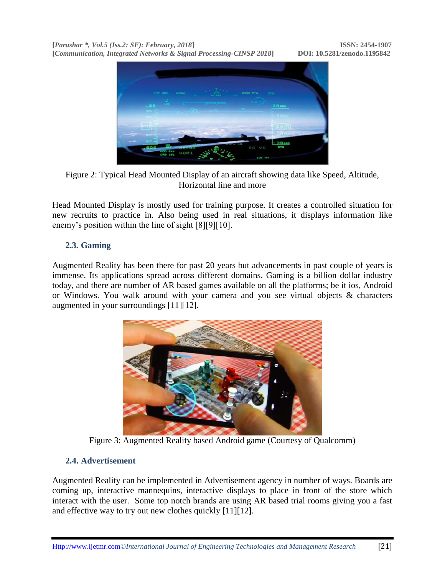



Head Mounted Display is mostly used for training purpose. It creates a controlled situation for new recruits to practice in. Also being used in real situations, it displays information like enemy's position within the line of sight [8][9][10].

#### **2.3. Gaming**

Augmented Reality has been there for past 20 years but advancements in past couple of years is immense. Its applications spread across different domains. Gaming is a billion dollar industry today, and there are number of AR based games available on all the platforms; be it ios, Android or Windows. You walk around with your camera and you see virtual objects & characters augmented in your surroundings [11][12].



Figure 3: Augmented Reality based Android game (Courtesy of Qualcomm)

#### **2.4. Advertisement**

Augmented Reality can be implemented in Advertisement agency in number of ways. Boards are coming up, interactive mannequins, interactive displays to place in front of the store which interact with the user. Some top notch brands are using AR based trial rooms giving you a fast and effective way to try out new clothes quickly [11][12].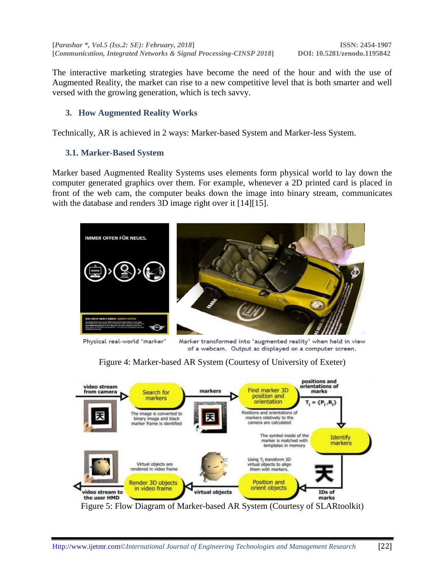The interactive marketing strategies have become the need of the hour and with the use of Augmented Reality, the market can rise to a new competitive level that is both smarter and well versed with the growing generation, which is tech savvy.

# **3. How Augmented Reality Works**

Technically, AR is achieved in 2 ways: Marker-based System and Marker-less System.

#### **3.1. Marker-Based System**

Marker based Augmented Reality Systems uses elements form physical world to lay down the computer generated graphics over them. For example, whenever a 2D printed card is placed in front of the web cam, the computer beaks down the image into binary stream, communicates with the database and renders 3D image right over it [14][15].



Physical real-world 'marker'

Marker transformed into 'augmented reality' when held in view of a webcam. Output as displayed on a computer screen.

Figure 4: Marker-based AR System (Courtesy of University of Exeter)



Figure 5: Flow Diagram of Marker-based AR System (Courtesy of SLARtoolkit)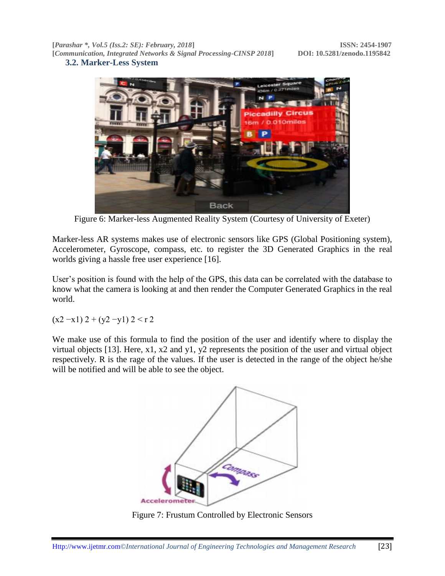**3.2. Marker-Less System**



Figure 6: Marker-less Augmented Reality System (Courtesy of University of Exeter)

Marker-less AR systems makes use of electronic sensors like GPS (Global Positioning system), Accelerometer, Gyroscope, compass, etc. to register the 3D Generated Graphics in the real worlds giving a hassle free user experience [16].

User's position is found with the help of the GPS, this data can be correlated with the database to know what the camera is looking at and then render the Computer Generated Graphics in the real world.

 $(x2 - x1) 2 + (y2 - y1) 2 < r 2$ 

We make use of this formula to find the position of the user and identify where to display the virtual objects [13]. Here, x1, x2 and y1, y2 represents the position of the user and virtual object respectively. R is the rage of the values. If the user is detected in the range of the object he/she will be notified and will be able to see the object.



Figure 7: Frustum Controlled by Electronic Sensors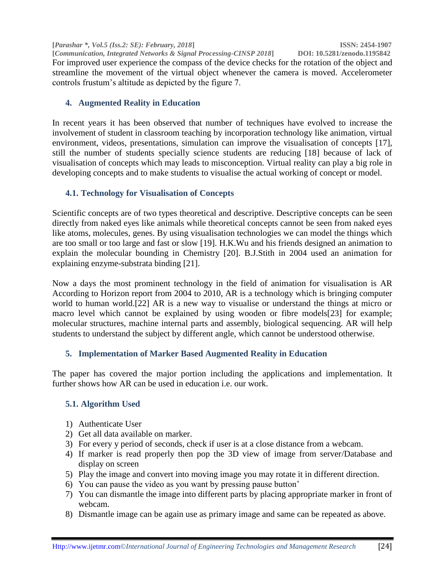**[***Parashar \*, Vol.5 (Iss.2: SE): February, 2018***] ISSN: 2454-1907 [Communication, Integrated Networks & Signal Processing-CINSP 2018]** For improved user experience the compass of the device checks for the rotation of the object and streamline the movement of the virtual object whenever the camera is moved. Accelerometer controls frustum"s altitude as depicted by the figure 7.

# **4. Augmented Reality in Education**

In recent years it has been observed that number of techniques have evolved to increase the involvement of student in classroom teaching by incorporation technology like animation, virtual environment, videos, presentations, simulation can improve the visualisation of concepts [17], still the number of students specially science students are reducing [18] because of lack of visualisation of concepts which may leads to misconception. Virtual reality can play a big role in developing concepts and to make students to visualise the actual working of concept or model.

## **4.1. Technology for Visualisation of Concepts**

Scientific concepts are of two types theoretical and descriptive. Descriptive concepts can be seen directly from naked eyes like animals while theoretical concepts cannot be seen from naked eyes like atoms, molecules, genes. By using visualisation technologies we can model the things which are too small or too large and fast or slow [19]. H.K.Wu and his friends designed an animation to explain the molecular bounding in Chemistry [20]. B.J.Stith in 2004 used an animation for explaining enzyme-substrata binding [21].

Now a days the most prominent technology in the field of animation for visualisation is AR According to Horizon report from 2004 to 2010, AR is a technology which is bringing computer world to human world.[22] AR is a new way to visualise or understand the things at micro or macro level which cannot be explained by using wooden or fibre models[23] for example; molecular structures, machine internal parts and assembly, biological sequencing. AR will help students to understand the subject by different angle, which cannot be understood otherwise.

# **5. Implementation of Marker Based Augmented Reality in Education**

The paper has covered the major portion including the applications and implementation. It further shows how AR can be used in education i.e. our work.

## **5.1. Algorithm Used**

- 1) Authenticate User
- 2) Get all data available on marker.
- 3) For every y period of seconds, check if user is at a close distance from a webcam.
- 4) If marker is read properly then pop the 3D view of image from server/Database and display on screen
- 5) Play the image and convert into moving image you may rotate it in different direction.
- 6) You can pause the video as you want by pressing pause button"
- 7) You can dismantle the image into different parts by placing appropriate marker in front of webcam.
- 8) Dismantle image can be again use as primary image and same can be repeated as above.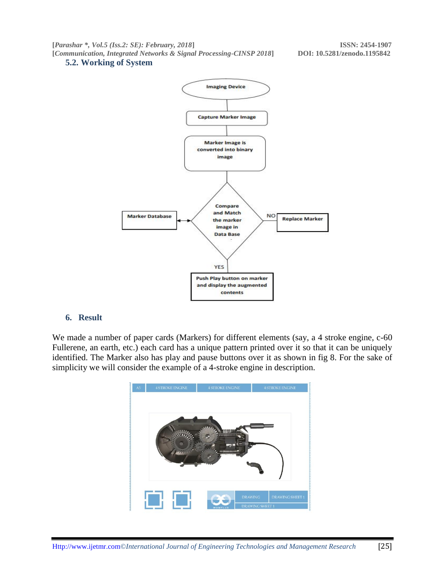#### **5.2. Working of System**



#### **6. Result**

We made a number of paper cards (Markers) for different elements (say, a 4 stroke engine, c-60 Fullerene, an earth, etc.) each card has a unique pattern printed over it so that it can be uniquely identified. The Marker also has play and pause buttons over it as shown in fig 8. For the sake of simplicity we will consider the example of a 4-stroke engine in description.

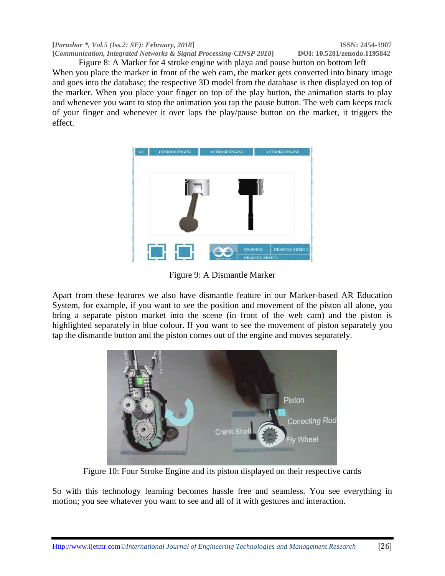Figure 8: A Marker for 4 stroke engine with playa and pause button on bottom left When you place the marker in front of the web cam, the marker gets converted into binary image and goes into the database; the respective 3D model from the database is then displayed on top of the marker. When you place your finger on top of the play button, the animation starts to play and whenever you want to stop the animation you tap the pause button. The web cam keeps track of your finger and whenever it over laps the play/pause button on the market, it triggers the effect.



Figure 9: A Dismantle Marker

Apart from these features we also have dismantle feature in our Marker-based AR Education System, for example, if you want to see the position and movement of the piston all alone, you bring a separate piston market into the scene (in front of the web cam) and the piston is highlighted separately in blue colour. If you want to see the movement of piston separately you tap the dismantle button and the piston comes out of the engine and moves separately.



Figure 10: Four Stroke Engine and its piston displayed on their respective cards

So with this technology learning becomes hassle free and seamless. You see everything in motion; you see whatever you want to see and all of it with gestures and interaction.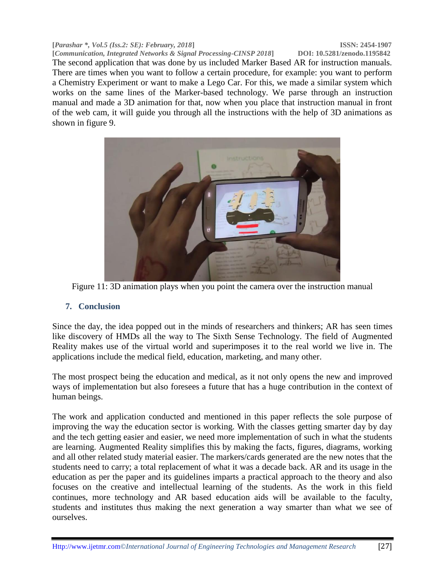**[***Parashar \*, Vol.5 (Iss.2: SE): February, 2018***] ISSN: 2454-1907**

**[Communication, Integrated Networks & Signal Processing-CINSP 2018]** The second application that was done by us included Marker Based AR for instruction manuals. There are times when you want to follow a certain procedure, for example: you want to perform a Chemistry Experiment or want to make a Lego Car. For this, we made a similar system which works on the same lines of the Marker-based technology. We parse through an instruction manual and made a 3D animation for that, now when you place that instruction manual in front of the web cam, it will guide you through all the instructions with the help of 3D animations as shown in figure 9.



Figure 11: 3D animation plays when you point the camera over the instruction manual

## **7. Conclusion**

Since the day, the idea popped out in the minds of researchers and thinkers; AR has seen times like discovery of HMDs all the way to The Sixth Sense Technology. The field of Augmented Reality makes use of the virtual world and superimposes it to the real world we live in. The applications include the medical field, education, marketing, and many other.

The most prospect being the education and medical, as it not only opens the new and improved ways of implementation but also foresees a future that has a huge contribution in the context of human beings.

The work and application conducted and mentioned in this paper reflects the sole purpose of improving the way the education sector is working. With the classes getting smarter day by day and the tech getting easier and easier, we need more implementation of such in what the students are learning. Augmented Reality simplifies this by making the facts, figures, diagrams, working and all other related study material easier. The markers/cards generated are the new notes that the students need to carry; a total replacement of what it was a decade back. AR and its usage in the education as per the paper and its guidelines imparts a practical approach to the theory and also focuses on the creative and intellectual learning of the students. As the work in this field continues, more technology and AR based education aids will be available to the faculty, students and institutes thus making the next generation a way smarter than what we see of ourselves.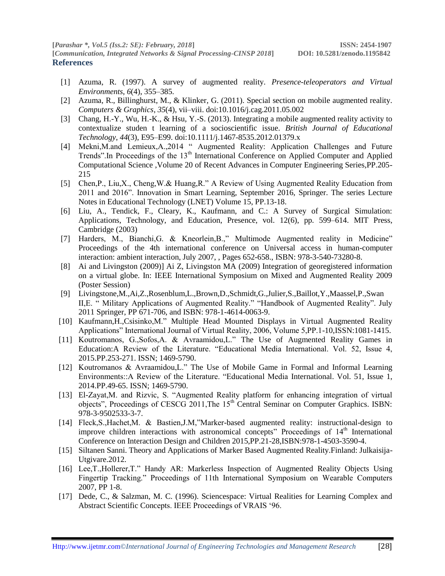- [1] Azuma, R. (1997). A survey of augmented reality. *Presence-teleoperators and Virtual Environments*, *6*(4), 355–385.
- [2] Azuma, R., Billinghurst, M., & Klinker, G. (2011). Special section on mobile augmented reality. *Computers & Graphics*, *35*(4), vii–viii. doi:10.1016/j.cag.2011.05.002
- [3] Chang, H.-Y., Wu, H.-K., & Hsu, Y.-S. (2013). Integrating a mobile augmented reality activity to contextualize studen t learning of a socioscientific issue. *British Journal of Educational Technology*, *44*(3), E95–E99. doi:10.1111/j.1467-8535.2012.01379.x
- [4] Mekni,M.and Lemieux,A.,2014 " Augmented Reality: Application Challenges and Future Trends".In Proceedings of the 13<sup>th</sup> International Conference on Applied Computer and Applied Computational Science ,Volume 20 of Recent Advances in Computer Engineering Series,PP.205- 215
- [5] Chen,P., Liu,X., Cheng,W.& Huang,R." A Review of Using Augmented Reality Education from 2011 and 2016". Innovation in Smart Learning, September 2016, Springer. The series Lecture Notes in Educational Technology (LNET) Volume 15, PP.13-18.
- [6] Liu, A., Tendick, F., Cleary, K., Kaufmann, and C.: A Survey of Surgical Simulation: Applications, Technology, and Education, Presence, vol. 12(6), pp. 599–614. MIT Press, Cambridge (2003)
- [7] Harders, M., Bianchi,G. & Kneorlein,B.," Multimode Augmented reality in Medicine" Proceedings of the 4th international conference on Universal access in human-computer interaction: ambient interaction, July 2007, , Pages 652-658., ISBN: 978-3-540-73280-8.
- [8] Ai and Livingston (2009)] Ai Z, Livingston MA (2009) Integration of georegistered information on a virtual globe. In: IEEE International Symposium on Mixed and Augmented Reality 2009 (Poster Session)
- [9] Livingstone,M.,Ai,Z.,Rosenblum,L.,Brown,D.,Schmidt,G.,Julier,S.,Baillot,Y.,Maassel,P.,Swan II,E. " Military Applications of Augmented Reality." "Handbook of Augmented Reality". July 2011 Springer, PP 671-706, and ISBN: 978-1-4614-0063-9.
- [10] Kaufmann,H.,Csisinko,M." Multiple Head Mounted Displays in Virtual Augmented Reality Applications" International Journal of Virtual Reality, 2006, Volume 5,PP.1-10,ISSN:1081-1415.
- [11] Koutromanos, G.,Sofos,A. & Avraamidou,L." The Use of Augmented Reality Games in Education:A Review of the Literature. "Educational Media International. Vol. 52, Issue 4, 2015.PP.253-271. ISSN; 1469-5790.
- [12] Koutromanos & Avraamidou,L." The Use of Mobile Game in Formal and Informal Learning Environments::A Review of the Literature. "Educational Media International. Vol. 51, Issue 1, 2014.PP.49-65. ISSN; 1469-5790.
- [13] El-Zayat,M. and Rizvic, S. "Augmented Reality platform for enhancing integration of virtual objects", Proceedings of CESCG 2011, The 15<sup>th</sup> Central Seminar on Computer Graphics. ISBN: 978-3-9502533-3-7.
- [14] Fleck,S.,Hachet,M. & Bastien,J.M,"Marker-based augmented reality: instructional-design to improve children interactions with astronomical concepts" Proceedings of  $14<sup>th</sup>$  International Conference on Interaction Design and Children 2015,PP.21-28,ISBN:978-1-4503-3590-4.
- [15] Siltanen Sanni. Theory and Applications of Marker Based Augmented Reality.Finland: Julkaisija-Utgivare.2012.
- [16] Lee,T.,Hollerer,T." Handy AR: Markerless Inspection of Augmented Reality Objects Using Fingertip Tracking." Proceedings of 11th International Symposium on Wearable Computers 2007, PP 1-8.
- [17] Dede, C., & Salzman, M. C. (1996). Sciencespace: Virtual Realities for Learning Complex and Abstract Scientific Concepts. IEEE Proceedings of VRAIS "96.